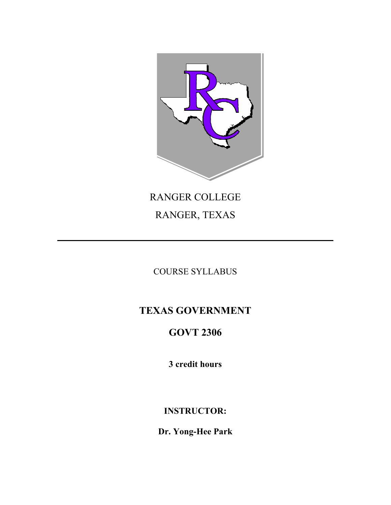

# RANGER COLLEGE RANGER, TEXAS

# COURSE SYLLABUS

# **TEXAS GOVERNMENT**

# **GOVT 2306**

**3 credit hours**

**INSTRUCTOR:**

**Dr. Yong-Hee Park**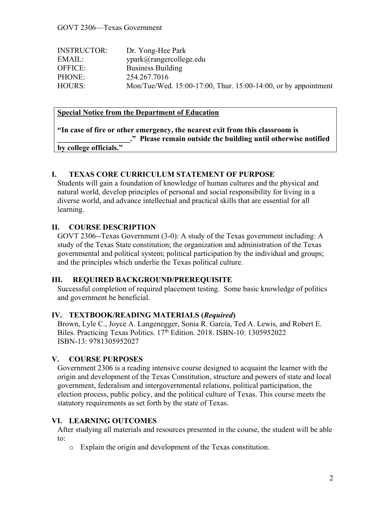| <b>INSTRUCTOR:</b> | Dr. Yong-Hee Park                                              |
|--------------------|----------------------------------------------------------------|
| EMAIL:             | vpark@rangereollege.edu                                        |
| OFFICE:            | <b>Business Building</b>                                       |
| PHONE:             | 254.267.7016                                                   |
| HOURS:             | Mon/Tue/Wed. 15:00-17:00, Thur. 15:00-14:00, or by appointment |

### **Special Notice from the Department of Education**

|                        | "In case of fire or other emergency, the nearest exit from this classroom is |
|------------------------|------------------------------------------------------------------------------|
|                        | ." Please remain outside the building until otherwise notified               |
| by college officials." |                                                                              |

#### **I. TEXAS CORE CURRICULUM STATEMENT OF PURPOSE**

Students will gain a foundation of knowledge of human cultures and the physical and natural world, develop principles of personal and social responsibility for living in a diverse world, and advance intellectual and practical skills that are essential for all learning.

#### **II. COURSE DESCRIPTION**

GOVT 2306--Texas Government (3-0): A study of the Texas government including: A study of the Texas State constitution; the organization and administration of the Texas governmental and political system; political participation by the individual and groups; and the principles which underlie the Texas political culture.

#### **III. REQUIRED BACKGROUND/PREREQUISITE**

Successful completion of required placement testing. Some basic knowledge of politics and government be beneficial.

#### **IV. TEXTBOOK/READING MATERIALS (***Required***)**

Brown, Lyle C., Joyce A. Langenegger, Sonia R. Garcia, Ted A. Lewis, and Robert E. Biles. Practicing Texas Politics. 17<sup>th</sup> Edition. 2018. ISBN-10: 1305952022 ISBN-13: 9781305952027

#### **V. COURSE PURPOSES**

Government 2306 is a reading intensive course designed to acquaint the learner with the origin and development of the Texas Constitution, structure and powers of state and local government, federalism and intergovernmental relations, political participation, the election process, public policy, and the political culture of Texas. This course meets the statutory requirements as set forth by the state of Texas.

#### **VI. LEARNING OUTCOMES**

After studying all materials and resources presented in the course, the student will be able to:

o Explain the origin and development of the Texas constitution.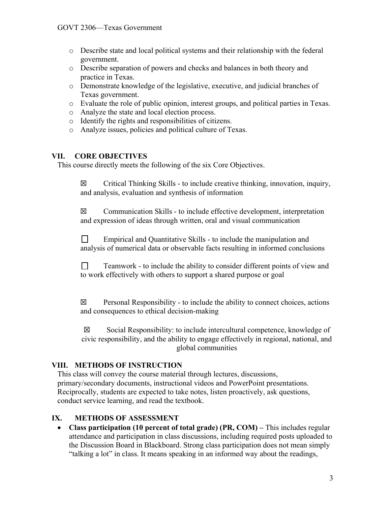- o Describe state and local political systems and their relationship with the federal government.
- o Describe separation of powers and checks and balances in both theory and practice in Texas.
- o Demonstrate knowledge of the legislative, executive, and judicial branches of Texas government.
- o Evaluate the role of public opinion, interest groups, and political parties in Texas.
- o Analyze the state and local election process.
- o Identify the rights and responsibilities of citizens.
- o Analyze issues, policies and political culture of Texas.

## **VII. CORE OBJECTIVES**

This course directly meets the following of the six Core Objectives.

 $\boxtimes$  Critical Thinking Skills - to include creative thinking, innovation, inquiry, and analysis, evaluation and synthesis of information

 $\boxtimes$  Communication Skills - to include effective development, interpretation and expression of ideas through written, oral and visual communication

 $\Box$ Empirical and Quantitative Skills - to include the manipulation and analysis of numerical data or observable facts resulting in informed conclusions

 $\Box$ Teamwork - to include the ability to consider different points of view and to work effectively with others to support a shared purpose or goal

 $\boxtimes$  Personal Responsibility - to include the ability to connect choices, actions and consequences to ethical decision-making

 $\boxtimes$  Social Responsibility: to include intercultural competence, knowledge of civic responsibility, and the ability to engage effectively in regional, national, and global communities

# **VIII. METHODS OF INSTRUCTION**

This class will convey the course material through lectures, discussions, primary/secondary documents, instructional videos and PowerPoint presentations. Reciprocally, students are expected to take notes, listen proactively, ask questions, conduct service learning, and read the textbook.

# **IX. METHODS OF ASSESSMENT**

 **Class participation (10 percent of total grade) (PR, COM) –** This includes regular attendance and participation in class discussions, including required posts uploaded to the Discussion Board in Blackboard. Strong class participation does not mean simply "talking a lot" in class. It means speaking in an informed way about the readings,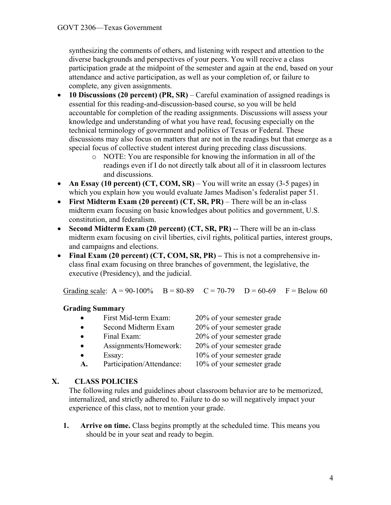synthesizing the comments of others, and listening with respect and attention to the diverse backgrounds and perspectives of your peers. You will receive a class participation grade at the midpoint of the semester and again at the end, based on your attendance and active participation, as well as your completion of, or failure to complete, any given assignments.

- **10 Discussions (20 percent) (PR, SR)**  Careful examination of assigned readings is essential for this reading-and-discussion-based course, so you will be held accountable for completion of the reading assignments. Discussions will assess your knowledge and understanding of what you have read, focusing especially on the technical terminology of government and politics of Texas or Federal. These discussions may also focus on matters that are not in the readings but that emerge as a special focus of collective student interest during preceding class discussions.
	- o NOTE: You are responsible for knowing the information in all of the readings even if I do not directly talk about all of it in classroom lectures and discussions.
- An Essay (10 percent) **(CT, COM, SR)** You will write an essay (3-5 pages) in which you explain how you would evaluate James Madison's federalist paper 51.
- **First Midterm Exam (20 percent) (CT, SR, PR)**  There will be an in-class midterm exam focusing on basic knowledges about politics and government, U.S. constitution, and federalism.
- **Second Midterm Exam (20 percent) (CT, SR, PR)** -- There will be an in-class midterm exam focusing on civil liberties, civil rights, political parties, interest groups, and campaigns and elections.
- **Final Exam (20 percent) (CT, COM, SR, PR) –** This is not a comprehensive inclass final exam focusing on three branches of government, the legislative, the executive (Presidency), and the judicial.

Grading scale:  $A = 90-100\%$  B = 80-89 C = 70-79 D = 60-69 F = Below 60

### **Grading Summary**

| $\bullet$ | First Mid-term Exam:      | 20% of your semester grade |
|-----------|---------------------------|----------------------------|
|           | Second Midterm Exam       | 20% of your semester grade |
|           | Final Exam:               | 20% of your semester grade |
|           | Assignments/Homework:     | 20% of your semester grade |
|           | Essay:                    | 10% of your semester grade |
| A.        | Participation/Attendance: | 10% of your semester grade |

# **X. CLASS POLICIES**

The following rules and guidelines about classroom behavior are to be memorized, internalized, and strictly adhered to. Failure to do so will negatively impact your experience of this class, not to mention your grade.

**1. Arrive on time.** Class begins promptly at the scheduled time. This means you should be in your seat and ready to begin.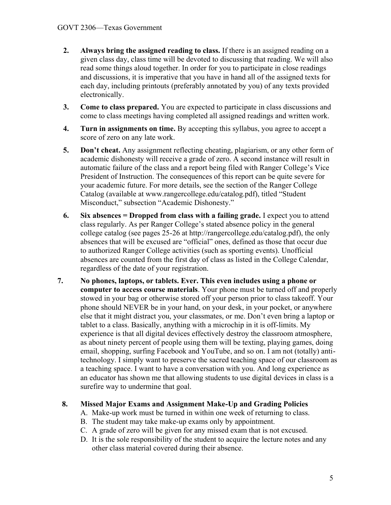- **2. Always bring the assigned reading to class.** If there is an assigned reading on a given class day, class time will be devoted to discussing that reading. We will also read some things aloud together. In order for you to participate in close readings and discussions, it is imperative that you have in hand all of the assigned texts for each day, including printouts (preferably annotated by you) of any texts provided electronically.
- **3. Come to class prepared.** You are expected to participate in class discussions and come to class meetings having completed all assigned readings and written work.
- **4. Turn in assignments on time.** By accepting this syllabus, you agree to accept a score of zero on any late work.
- **5. Don't cheat.** Any assignment reflecting cheating, plagiarism, or any other form of academic dishonesty will receive a grade of zero. A second instance will result in automatic failure of the class and a report being filed with Ranger College's Vice President of Instruction. The consequences of this report can be quite severe for your academic future. For more details, see the section of the Ranger College Catalog (available at www.rangercollege.edu/catalog.pdf), titled "Student Misconduct," subsection "Academic Dishonesty."
- **6. Six absences = Dropped from class with a failing grade.** I expect you to attend class regularly. As per Ranger College's stated absence policy in the general college catalog (see pages 25-26 at http://rangercollege.edu/catalog.pdf), the only absences that will be excused are "official" ones, defined as those that occur due to authorized Ranger College activities (such as sporting events). Unofficial absences are counted from the first day of class as listed in the College Calendar, regardless of the date of your registration.
- **7. No phones, laptops, or tablets. Ever. This even includes using a phone or computer to access course materials**. Your phone must be turned off and properly stowed in your bag or otherwise stored off your person prior to class takeoff. Your phone should NEVER be in your hand, on your desk, in your pocket, or anywhere else that it might distract you, your classmates, or me. Don't even bring a laptop or tablet to a class. Basically, anything with a microchip in it is off-limits. My experience is that all digital devices effectively destroy the classroom atmosphere, as about ninety percent of people using them will be texting, playing games, doing email, shopping, surfing Facebook and YouTube, and so on. I am not (totally) antitechnology. I simply want to preserve the sacred teaching space of our classroom as a teaching space. I want to have a conversation with you. And long experience as an educator has shown me that allowing students to use digital devices in class is a surefire way to undermine that goal.

### **8. Missed Major Exams and Assignment Make-Up and Grading Policies**

- A. Make-up work must be turned in within one week of returning to class.
- B. The student may take make-up exams only by appointment.
- C. A grade of zero will be given for any missed exam that is not excused.
- D. It is the sole responsibility of the student to acquire the lecture notes and any other class material covered during their absence.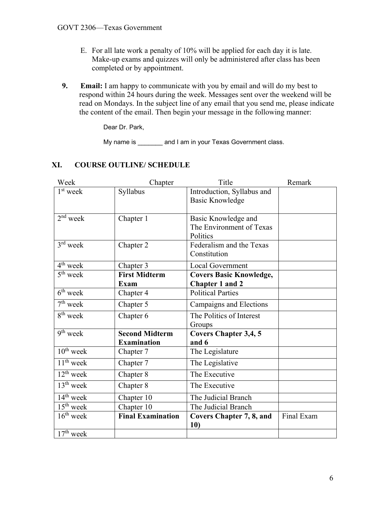- E. For all late work a penalty of 10% will be applied for each day it is late. Make-up exams and quizzes will only be administered after class has been completed or by appointment.
- **9. Email:** I am happy to communicate with you by email and will do my best to respond within 24 hours during the week. Messages sent over the weekend will be read on Mondays. In the subject line of any email that you send me, please indicate the content of the email. Then begin your message in the following manner:

Dear Dr. Park,

My name is \_\_\_\_\_\_\_ and I am in your Texas Government class.

# **XI. COURSE OUTLINE/ SCHEDULE**

| Week                 | Chapter                  | Title                           | Remark     |
|----------------------|--------------------------|---------------------------------|------------|
| $1st$ week           | Syllabus                 | Introduction, Syllabus and      |            |
|                      |                          | <b>Basic Knowledge</b>          |            |
|                      |                          |                                 |            |
| $2nd$ week           | Chapter 1                | Basic Knowledge and             |            |
|                      |                          | The Environment of Texas        |            |
|                      |                          | Politics                        |            |
| $3rd$ week           | Chapter 2                | Federalism and the Texas        |            |
|                      |                          | Constitution                    |            |
| 4 <sup>th</sup> week | Chapter 3                | <b>Local Government</b>         |            |
| 5 <sup>th</sup> week | <b>First Midterm</b>     | <b>Covers Basic Knowledge,</b>  |            |
|                      | <b>Exam</b>              | <b>Chapter 1 and 2</b>          |            |
| $6th$ week           | Chapter 4                | <b>Political Parties</b>        |            |
| $7th$ week           | Chapter 5                | Campaigns and Elections         |            |
| $8th$ week           | Chapter 6                | The Politics of Interest        |            |
|                      |                          | Groups                          |            |
| $9th$ week           | <b>Second Midterm</b>    | <b>Covers Chapter 3,4, 5</b>    |            |
|                      | <b>Examination</b>       | and 6                           |            |
| $10^{th}$ week       | Chapter 7                | The Legislature                 |            |
| $11th$ week          | Chapter 7                | The Legislative                 |            |
| $12^{th}$ week       | Chapter 8                | The Executive                   |            |
| $13th$ week          | Chapter 8                | The Executive                   |            |
| $14th$ week          | Chapter 10               | The Judicial Branch             |            |
| $15th$ week          | Chapter 10               | The Judicial Branch             |            |
| $16th$ week          | <b>Final Examination</b> | <b>Covers Chapter 7, 8, and</b> | Final Exam |
|                      |                          | 10)                             |            |
| $17th$ week          |                          |                                 |            |